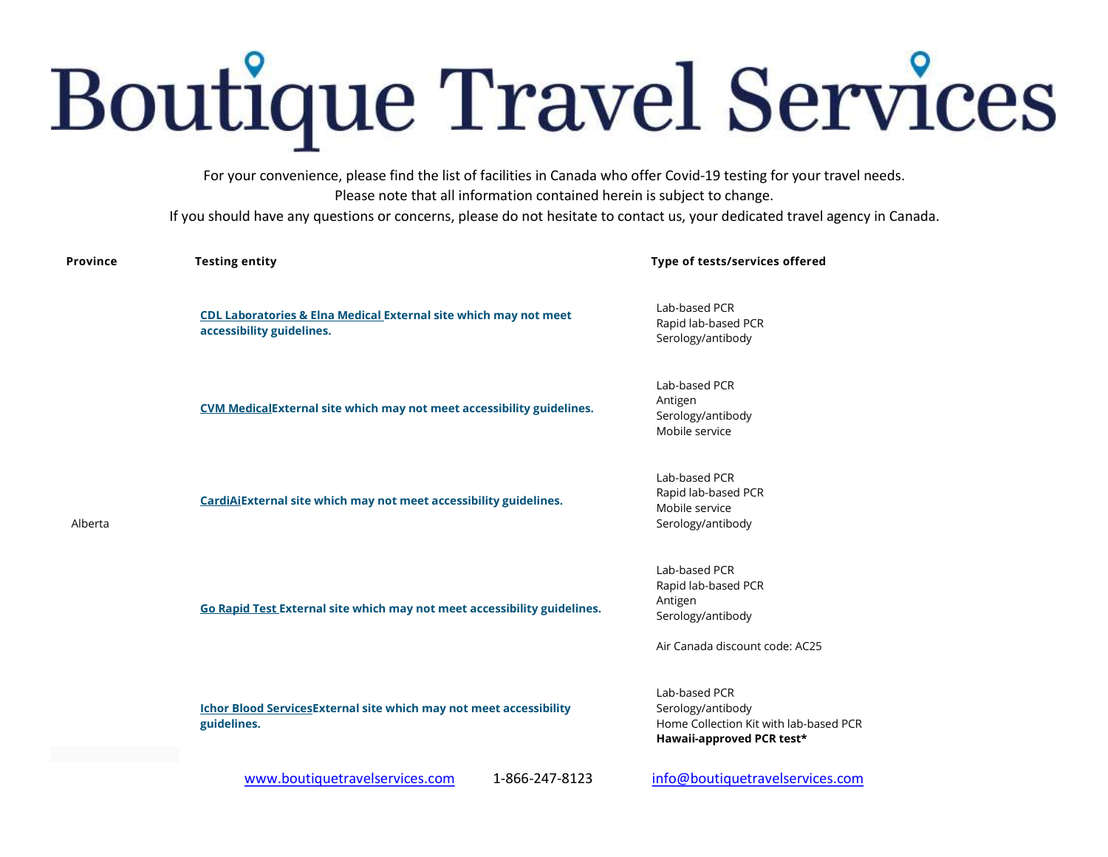## **Boutique Travel Services**

For your convenience, please find the list of facilities in Canada who offer Covid-19 testing for your travel needs. Please note that all information contained herein is subject to change.

If you should have any questions or concerns, please do not hesitate to contact us, your dedicated travel agency in Canada.

| <b>Province</b> | <b>Testing entity</b>                                                                         | Type of tests/services offered                                                                            |
|-----------------|-----------------------------------------------------------------------------------------------|-----------------------------------------------------------------------------------------------------------|
| Alberta         | CDL Laboratories & Elna Medical External site which may not meet<br>accessibility guidelines. | Lab-based PCR<br>Rapid lab-based PCR<br>Serology/antibody                                                 |
|                 | <b>CVM MedicalExternal site which may not meet accessibility guidelines.</b>                  | Lab-based PCR<br>Antigen<br>Serology/antibody<br>Mobile service                                           |
|                 | CardiAiExternal site which may not meet accessibility guidelines.                             | Lab-based PCR<br>Rapid lab-based PCR<br>Mobile service<br>Serology/antibody                               |
|                 | Go Rapid Test External site which may not meet accessibility guidelines.                      | Lab-based PCR<br>Rapid lab-based PCR<br>Antigen<br>Serology/antibody<br>Air Canada discount code: AC25    |
|                 | <b>Ichor Blood ServicesExternal site which may not meet accessibility</b><br>guidelines.      | Lab-based PCR<br>Serology/antibody<br>Home Collection Kit with lab-based PCR<br>Hawaii-approved PCR test* |
|                 | www.boutiquetravelservices.com<br>1-866-247-8123                                              | info@boutiquetravelservices.com                                                                           |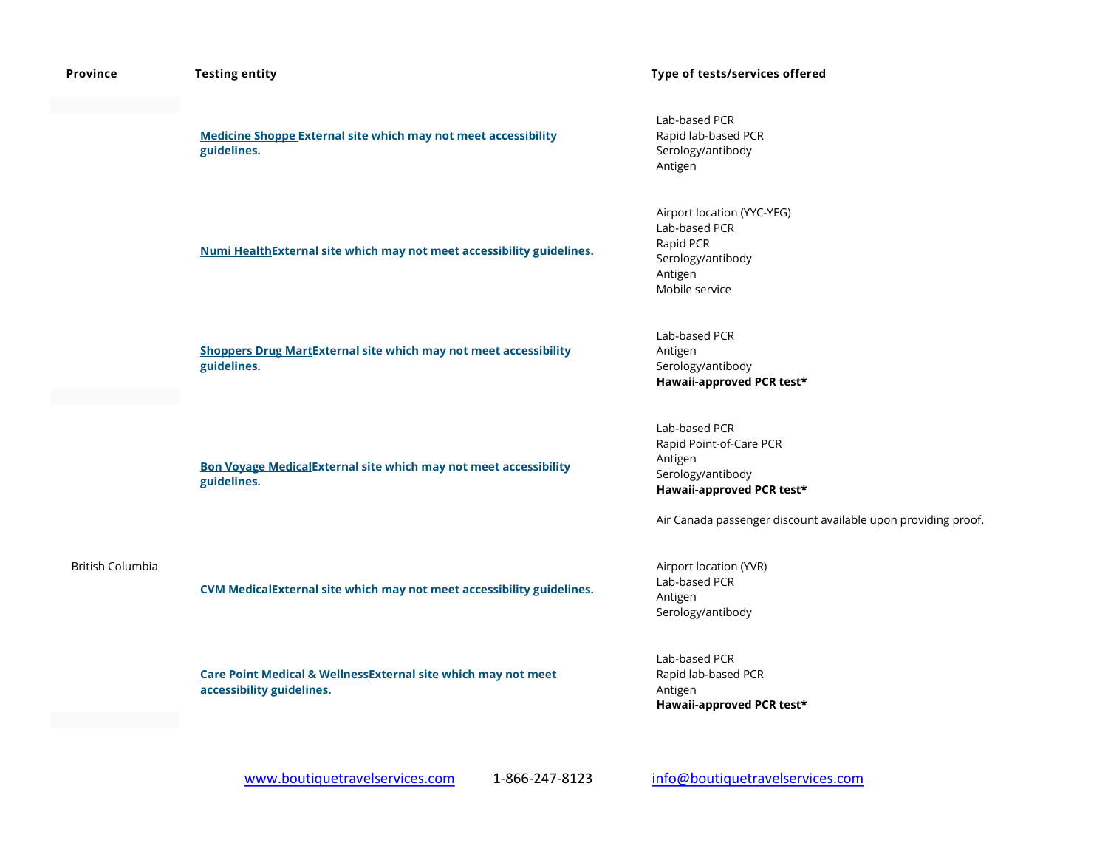| Province         | <b>Testing entity</b>                                                                                 | Type of tests/services offered                                                                                                                                         |
|------------------|-------------------------------------------------------------------------------------------------------|------------------------------------------------------------------------------------------------------------------------------------------------------------------------|
|                  | <b>Medicine Shoppe External site which may not meet accessibility</b><br>guidelines.                  | Lab-based PCR<br>Rapid lab-based PCR<br>Serology/antibody<br>Antigen                                                                                                   |
|                  | Numi HealthExternal site which may not meet accessibility guidelines.                                 | Airport location (YYC-YEG)<br>Lab-based PCR<br>Rapid PCR<br>Serology/antibody<br>Antigen<br>Mobile service                                                             |
|                  | <b>Shoppers Drug MartExternal site which may not meet accessibility</b><br>guidelines.                | Lab-based PCR<br>Antigen<br>Serology/antibody<br>Hawaii-approved PCR test*                                                                                             |
|                  | <b>Bon Voyage MedicalExternal site which may not meet accessibility</b><br>guidelines.                | Lab-based PCR<br>Rapid Point-of-Care PCR<br>Antigen<br>Serology/antibody<br>Hawaii-approved PCR test*<br>Air Canada passenger discount available upon providing proof. |
| British Columbia | CVM MedicalExternal site which may not meet accessibility guidelines.                                 | Airport location (YVR)<br>Lab-based PCR<br>Antigen<br>Serology/antibody                                                                                                |
|                  | <b>Care Point Medical &amp; WellnessExternal site which may not meet</b><br>accessibility guidelines. | Lab-based PCR<br>Rapid lab-based PCR<br>Antigen<br>Hawaii-approved PCR test*                                                                                           |
|                  |                                                                                                       |                                                                                                                                                                        |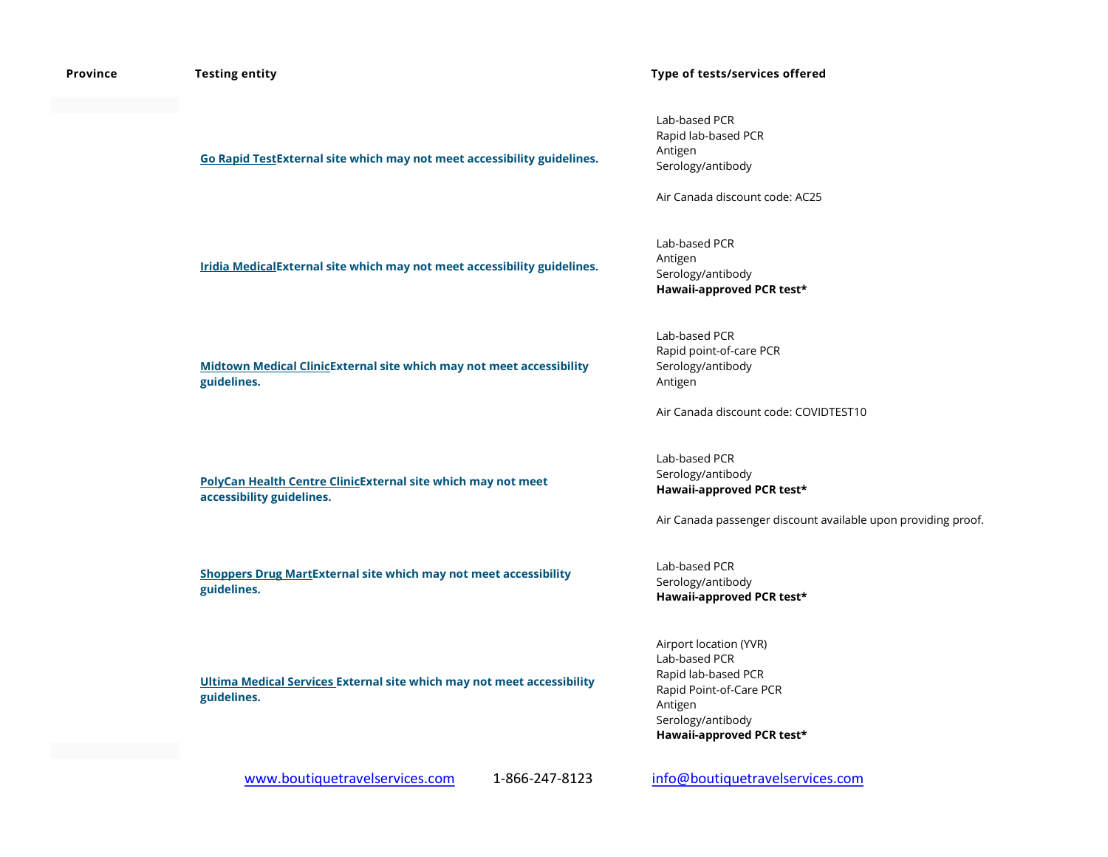| Province | <b>Testing entity</b>                                                                     | Type of tests/services offered                                                                                                                         |
|----------|-------------------------------------------------------------------------------------------|--------------------------------------------------------------------------------------------------------------------------------------------------------|
|          | Go Rapid Test External site which may not meet accessibility guidelines.                  | Lab-based PCR<br>Rapid lab-based PCR<br>Antigen<br>Serology/antibody<br>Air Canada discount code: AC25                                                 |
|          | Iridia MedicalExternal site which may not meet accessibility guidelines.                  | Lab-based PCR<br>Antigen<br>Serology/antibody<br>Hawaii-approved PCR test*                                                                             |
|          | Midtown Medical ClinicExternal site which may not meet accessibility<br>guidelines.       | Lab-based PCR<br>Rapid point-of-care PCR<br>Serology/antibody<br>Antigen<br>Air Canada discount code: COVIDTEST10                                      |
|          | PolyCan Health Centre ClinicExternal site which may not meet<br>accessibility guidelines. | Lab-based PCR<br>Serology/antibody<br>Hawaii-approved PCR test*<br>Air Canada passenger discount available upon providing proof.                       |
|          | <b>Shoppers Drug MartExternal site which may not meet accessibility</b><br>guidelines.    | Lab-based PCR<br>Serology/antibody<br>Hawaii-approved PCR test*                                                                                        |
|          | Ultima Medical Services External site which may not meet accessibility<br>guidelines.     | Airport location (YVR)<br>Lab-based PCR<br>Rapid lab-based PCR<br>Rapid Point-of-Care PCR<br>Antigen<br>Serology/antibody<br>Hawaii-approved PCR test* |

www.boutiquetravelservices.com 1-866-247-8123 info@boutiquetravelservices.com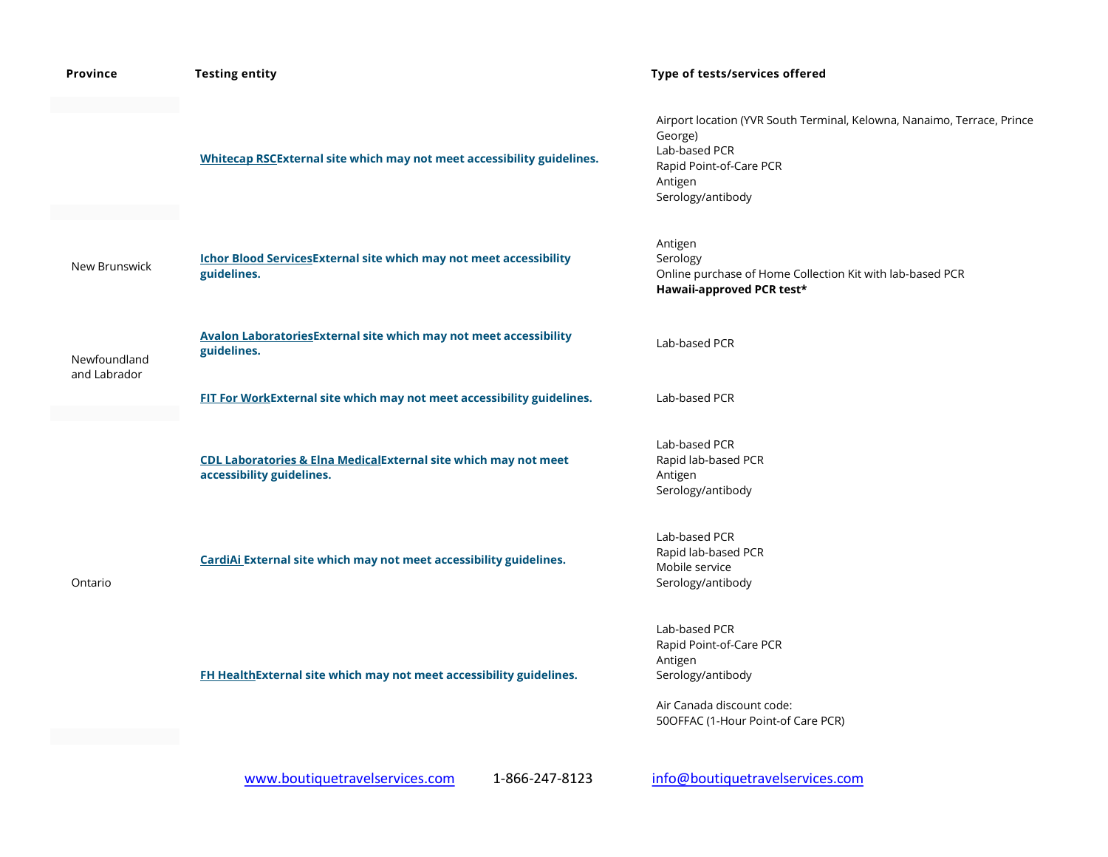| <b>Province</b> | <b>Testing entity</b>                                                                        | Type of tests/services offered                                                                                                                                 |
|-----------------|----------------------------------------------------------------------------------------------|----------------------------------------------------------------------------------------------------------------------------------------------------------------|
|                 | Whitecap RSCExternal site which may not meet accessibility guidelines.                       | Airport location (YVR South Terminal, Kelowna, Nanaimo, Terrace, Prince<br>George)<br>Lab-based PCR<br>Rapid Point-of-Care PCR<br>Antigen<br>Serology/antibody |
| New Brunswick   | <b>Ichor Blood Services External site which may not meet accessibility</b><br>guidelines.    | Antigen<br>Serology<br>Online purchase of Home Collection Kit with lab-based PCR<br>Hawaii-approved PCR test*                                                  |
| Newfoundland    | <b>Avalon LaboratoriesExternal site which may not meet accessibility</b><br>guidelines.      | Lab-based PCR                                                                                                                                                  |
| and Labrador    | FIT For WorkExternal site which may not meet accessibility guidelines.                       | Lab-based PCR                                                                                                                                                  |
| Ontario         | CDL Laboratories & Elna MedicalExternal site which may not meet<br>accessibility guidelines. | Lab-based PCR<br>Rapid lab-based PCR<br>Antigen<br>Serology/antibody                                                                                           |
|                 | CardiAi External site which may not meet accessibility guidelines.                           | Lab-based PCR<br>Rapid lab-based PCR<br>Mobile service<br>Serology/antibody                                                                                    |
|                 | FH HealthExternal site which may not meet accessibility guidelines.                          | Lab-based PCR<br>Rapid Point-of-Care PCR<br>Antigen<br>Serology/antibody<br>Air Canada discount code:<br>50OFFAC (1-Hour Point-of Care PCR)                    |
|                 | 1-866-247-8123<br>www.boutiquetravelservices.com                                             | info@boutiquetravelservices.com                                                                                                                                |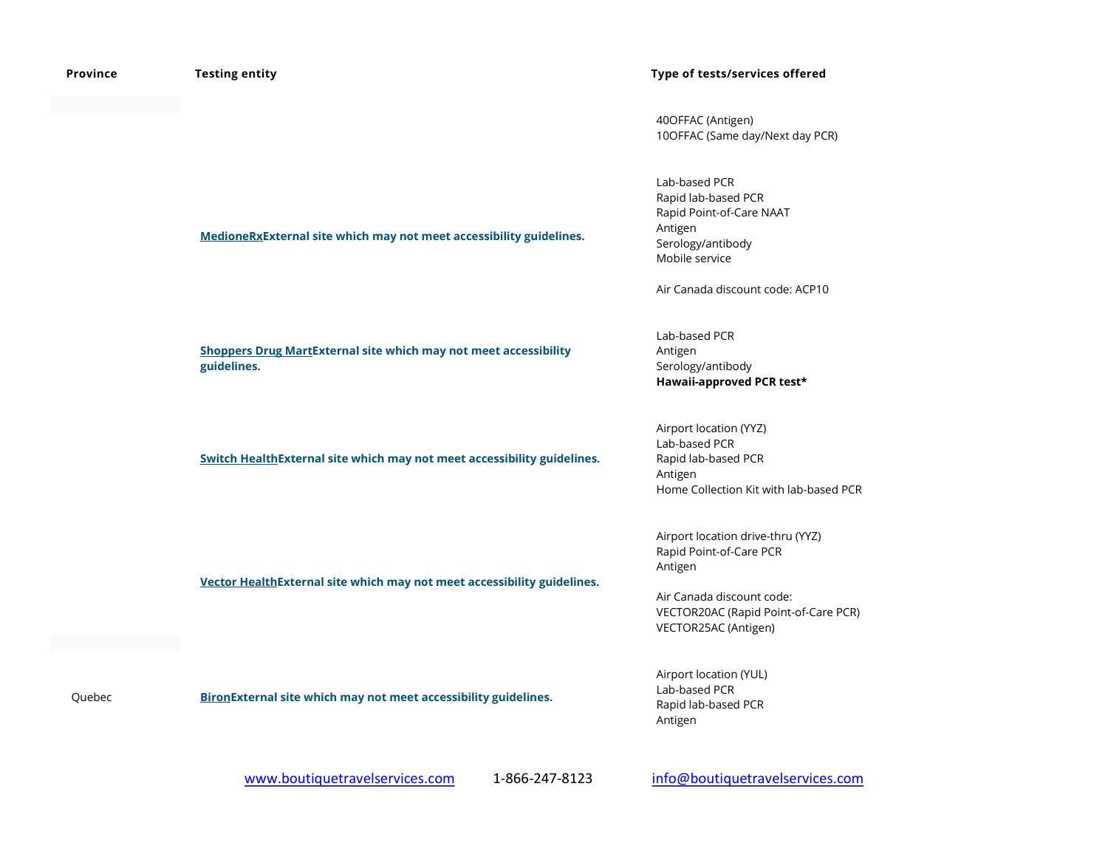| Province | <b>Testing entity</b>                                                                  | Type of tests/services offered                                                                                                                                       |
|----------|----------------------------------------------------------------------------------------|----------------------------------------------------------------------------------------------------------------------------------------------------------------------|
|          |                                                                                        | 40OFFAC (Antigen)<br>10OFFAC (Same day/Next day PCR)                                                                                                                 |
|          | MedioneRxExternal site which may not meet accessibility guidelines.                    | Lab-based PCR<br>Rapid lab-based PCR<br>Rapid Point-of-Care NAAT<br>Antigen<br>Serology/antibody<br>Mobile service<br>Air Canada discount code: ACP10                |
|          | <b>Shoppers Drug MartExternal site which may not meet accessibility</b><br>guidelines. | Lab-based PCR<br>Antigen<br>Serology/antibody<br>Hawaii-approved PCR test*                                                                                           |
|          | Switch Health External site which may not meet accessibility guidelines.               | Airport location (YYZ)<br>Lab-based PCR<br>Rapid lab-based PCR<br>Antigen<br>Home Collection Kit with lab-based PCR                                                  |
|          | Vector HealthExternal site which may not meet accessibility guidelines.                | Airport location drive-thru (YYZ)<br>Rapid Point-of-Care PCR<br>Antigen<br>Air Canada discount code:<br>VECTOR20AC (Rapid Point-of-Care PCR)<br>VECTOR25AC (Antigen) |
| Quebec   | <b>BironExternal site which may not meet accessibility guidelines.</b>                 | Airport location (YUL)<br>Lab-based PCR<br>Rapid lab-based PCR<br>Antigen                                                                                            |
|          | 1-866-247-8123<br>www.boutiquetravelservices.com                                       | info@boutiquetravelservices.com                                                                                                                                      |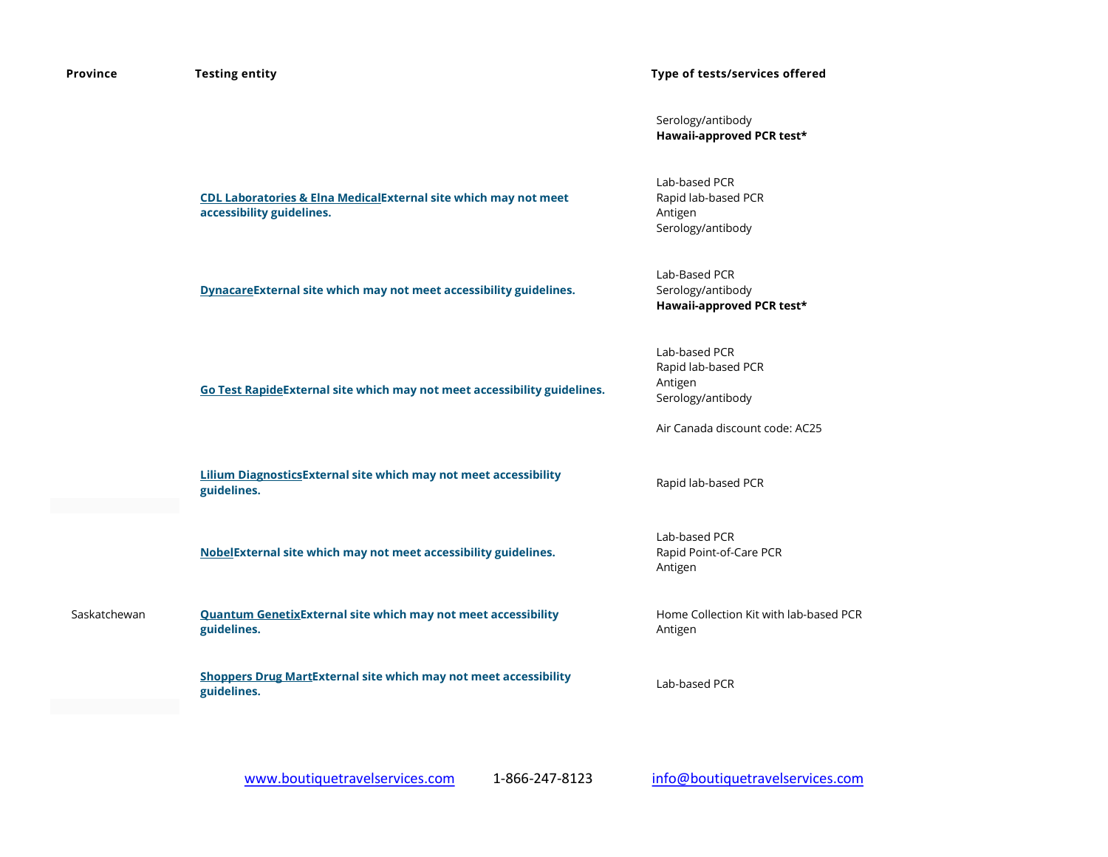| Province     | <b>Testing entity</b>                                                                        | Type of tests/services offered                                                                         |
|--------------|----------------------------------------------------------------------------------------------|--------------------------------------------------------------------------------------------------------|
|              |                                                                                              | Serology/antibody<br>Hawaii-approved PCR test*                                                         |
|              | CDL Laboratories & Elna MedicalExternal site which may not meet<br>accessibility guidelines. | Lab-based PCR<br>Rapid lab-based PCR<br>Antigen<br>Serology/antibody                                   |
|              | DynacareExternal site which may not meet accessibility guidelines.                           | Lab-Based PCR<br>Serology/antibody<br>Hawaii-approved PCR test*                                        |
|              | Go Test RapideExternal site which may not meet accessibility guidelines.                     | Lab-based PCR<br>Rapid lab-based PCR<br>Antigen<br>Serology/antibody<br>Air Canada discount code: AC25 |
|              | <b>Lilium DiagnosticsExternal site which may not meet accessibility</b><br>guidelines.       | Rapid lab-based PCR                                                                                    |
|              | NobelExternal site which may not meet accessibility guidelines.                              | Lab-based PCR<br>Rapid Point-of-Care PCR<br>Antigen                                                    |
| Saskatchewan | <b>Quantum GenetixExternal site which may not meet accessibility</b><br>guidelines.          | Home Collection Kit with lab-based PCR<br>Antigen                                                      |
|              | <b>Shoppers Drug MartExternal site which may not meet accessibility</b><br>guidelines.       | Lab-based PCR                                                                                          |
|              |                                                                                              |                                                                                                        |

www.boutiquetravelservices.com 1-866-247-8123 info@boutiquetravelservices.com